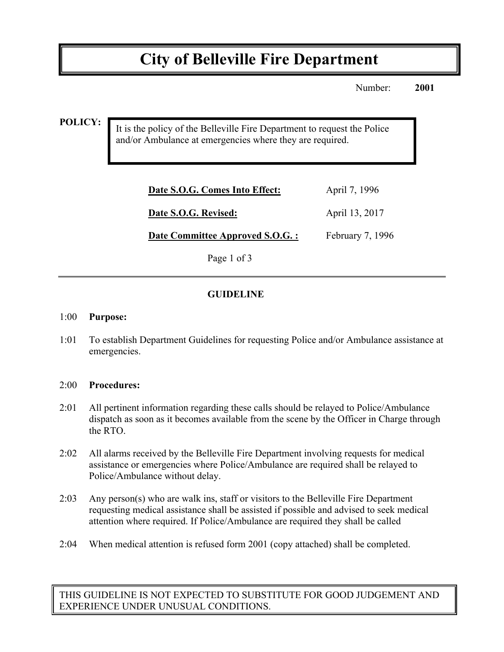# **City of Belleville Fire Department**

Number: **2001**

**POLICY:**

It is the policy of the Belleville Fire Department to request the Police and/or Ambulance at emergencies where they are required.

| April 7, 1996    |
|------------------|
| April 13, 2017   |
| February 7, 1996 |
|                  |

Page 1 of 3

## **GUIDELINE**

#### 1:00 **Purpose:**

1:01 To establish Department Guidelines for requesting Police and/or Ambulance assistance at emergencies.

#### 2:00 **Procedures:**

- 2:01 All pertinent information regarding these calls should be relayed to Police/Ambulance dispatch as soon as it becomes available from the scene by the Officer in Charge through the RTO.
- 2:02 All alarms received by the Belleville Fire Department involving requests for medical assistance or emergencies where Police/Ambulance are required shall be relayed to Police/Ambulance without delay.
- 2:03 Any person(s) who are walk ins, staff or visitors to the Belleville Fire Department requesting medical assistance shall be assisted if possible and advised to seek medical attention where required. If Police/Ambulance are required they shall be called
- 2:04 When medical attention is refused form 2001 (copy attached) shall be completed.

THIS GUIDELINE IS NOT EXPECTED TO SUBSTITUTE FOR GOOD JUDGEMENT AND EXPERIENCE UNDER UNUSUAL CONDITIONS.